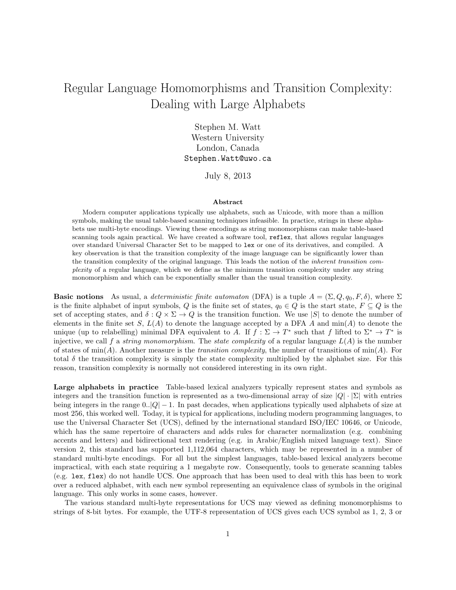## Regular Language Homomorphisms and Transition Complexity: Dealing with Large Alphabets

Stephen M. Watt Western University London, Canada Stephen.Watt@uwo.ca

July 8, 2013

## Abstract

Modern computer applications typically use alphabets, such as Unicode, with more than a million symbols, making the usual table-based scanning techniques infeasible. In practice, strings in these alphabets use multi-byte encodings. Viewing these encodings as string monomorphisms can make table-based scanning tools again practical. We have created a software tool, reflex, that allows regular languages over standard Universal Character Set to be mapped to lex or one of its derivatives, and compiled. A key observation is that the transition complexity of the image language can be significantly lower than the transition complexity of the original language. This leads the notion of the inherent transition complexity of a regular language, which we define as the minimum transition complexity under any string monomorphism and which can be exponentially smaller than the usual transition complexity.

**Basic notions** As usual, a deterministic finite automaton (DFA) is a tuple  $A = (\Sigma, Q, q_0, F, \delta)$ , where  $\Sigma$ is the finite alphabet of input symbols, Q is the finite set of states,  $q_0 \in Q$  is the start state,  $F \subseteq Q$  is the set of accepting states, and  $\delta: Q \times \Sigma \to Q$  is the transition function. We use |S| to denote the number of elements in the finite set  $S, L(A)$  to denote the language accepted by a DFA A and min(A) to denote the unique (up to relabelling) minimal DFA equivalent to A. If  $f : \Sigma \to T^*$  such that f lifted to  $\Sigma^* \to T^*$  is injective, we call f a *string monomorphism*. The *state complexity* of a regular language  $L(A)$  is the number of states of min(A). Another measure is the transition complexity, the number of transitions of min(A). For total  $\delta$  the transition complexity is simply the state complexity multiplied by the alphabet size. For this reason, transition complexity is normally not considered interesting in its own right.

Large alphabets in practice Table-based lexical analyzers typically represent states and symbols as integers and the transition function is represented as a two-dimensional array of size  $|Q| \cdot |\Sigma|$  with entries being integers in the range  $0.||Q| - 1$ . In past decades, when applications typically used alphabets of size at most 256, this worked well. Today, it is typical for applications, including modern programming languages, to use the Universal Character Set (UCS), defined by the international standard ISO/IEC 10646, or Unicode, which has the same repertoire of characters and adds rules for character normalization (e.g. combining accents and letters) and bidirectional text rendering (e.g. in Arabic/English mixed language text). Since version 2, this standard has supported 1,112,064 characters, which may be represented in a number of standard multi-byte encodings. For all but the simplest languages, table-based lexical analyzers become impractical, with each state requiring a 1 megabyte row. Consequently, tools to generate scanning tables (e.g. lex, flex) do not handle UCS. One approach that has been used to deal with this has been to work over a reduced alphabet, with each new symbol representing an equivalence class of symbols in the original language. This only works in some cases, however.

The various standard multi-byte representations for UCS may viewed as defining monomorphisms to strings of 8-bit bytes. For example, the UTF-8 representation of UCS gives each UCS symbol as 1, 2, 3 or